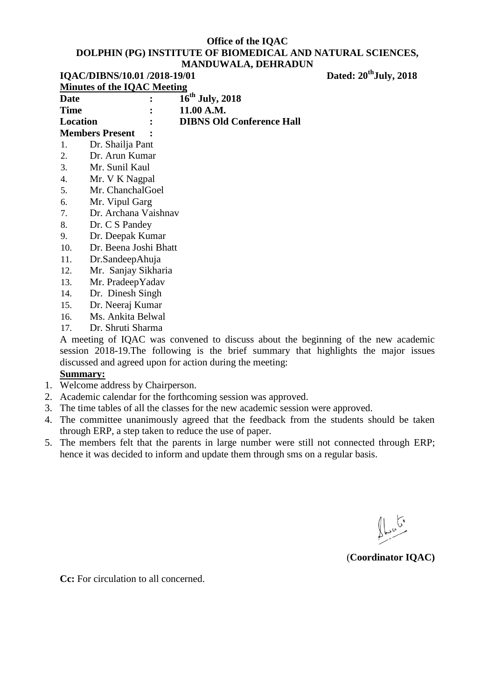## **Office of the IQAC DOLPHIN (PG) INSTITUTE OF BIOMEDICAL AND NATURAL SCIENCES, MANDUWALA, DEHRADUN IQAC/DIBNS/10.01 /2018-19/01** Dated: 20<sup>th</sup>**July**, 2018

| Minutes of the IQAC Meeting |               |                                  |  |
|-----------------------------|---------------|----------------------------------|--|
| Date                        |               | $16^{th}$ July, 2018             |  |
| <b>Time</b>                 |               | 11.00 A.M.                       |  |
| Location                    | $\mathcal{L}$ | <b>DIBNS Old Conference Hall</b> |  |
| Mombors Drosont             |               |                                  |  |

## **Members Present :**

- 1. Dr. Shailja Pant
- 2. Dr. Arun Kumar
- 3. Mr. Sunil Kaul
- 4. Mr. V K Nagpal
- 5. Mr. ChanchalGoel
- 6. Mr. Vipul Garg
- 7. Dr. Archana Vaishnav
- 8. Dr. C S Pandey
- 9. Dr. Deepak Kumar
- 10. Dr. Beena Joshi Bhatt
- 11. Dr.SandeepAhuja
- 12. Mr. Sanjay Sikharia
- 13. Mr. PradeepYadav
- 14. Dr. Dinesh Singh
- 15. Dr. Neeraj Kumar
- 16. Ms. Ankita Belwal
- 17. Dr. Shruti Sharma

A meeting of IQAC was convened to discuss about the beginning of the new academic session 2018-19.The following is the brief summary that highlights the major issues discussed and agreed upon for action during the meeting:

## **Summary:**

- 1. Welcome address by Chairperson.
- 2. Academic calendar for the forthcoming session was approved.
- 3. The time tables of all the classes for the new academic session were approved.
- 4. The committee unanimously agreed that the feedback from the students should be taken through ERP, a step taken to reduce the use of paper.
- 5. The members felt that the parents in large number were still not connected through ERP; hence it was decided to inform and update them through sms on a regular basis.

## (**Coordinator IQAC)**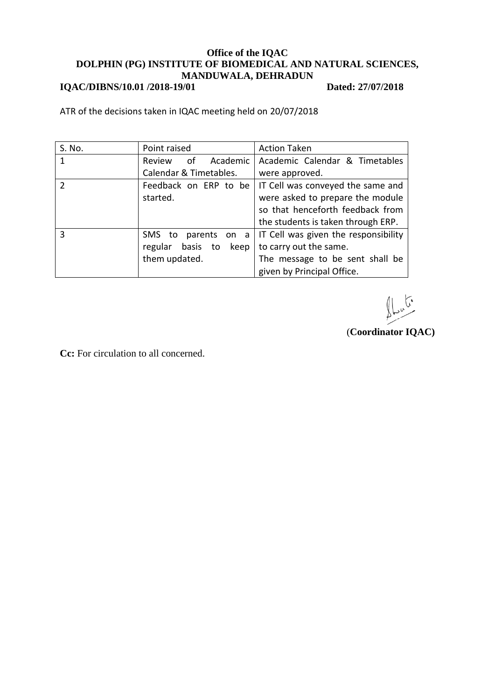# **IQAC/DIBNS/10.01 /2018-19/01** Dated: 27/07/2018

ATR of the decisions taken in IQAC meeting held on 20/07/2018

| S. No.        | Point raised             | <b>Action Taken</b>                  |
|---------------|--------------------------|--------------------------------------|
| 1             | of<br>Academic<br>Review | Academic Calendar & Timetables       |
|               | Calendar & Timetables.   | were approved.                       |
| $\mathcal{P}$ | Feedback on ERP to be    | IT Cell was conveyed the same and    |
|               | started.                 | were asked to prepare the module     |
|               |                          | so that henceforth feedback from     |
|               |                          | the students is taken through ERP.   |
| 3             | SMS to parents on a      | IT Cell was given the responsibility |
|               | regular basis to<br>keep | to carry out the same.               |
|               | them updated.            | The message to be sent shall be      |
|               |                          | given by Principal Office.           |

(**Coordinator IQAC)**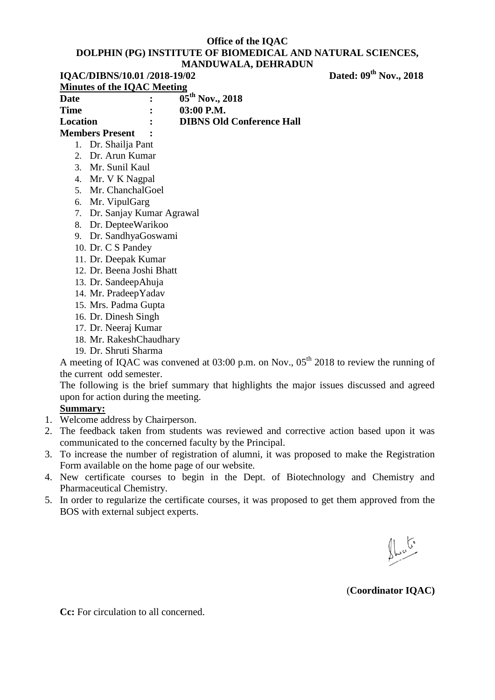#### **IQAC/DIBNS/10.01 /2018-19/02**

Dated:  $09^{th}$  Nov., 2018

| Minutes of the IQAC Meeting |  |                                        |  |
|-----------------------------|--|----------------------------------------|--|
| <b>Date</b>                 |  | $\overline{05}^{\text{th}}$ Nov., 2018 |  |
| <b>Time</b>                 |  | $03:00$ P.M.                           |  |
| Location                    |  | <b>DIBNS Old Conference Hall</b>       |  |
|                             |  |                                        |  |

## **Members Present :**

- 1. Dr. Shailja Pant
- 2. Dr. Arun Kumar
- 3. Mr. Sunil Kaul
- 4. Mr. V K Nagpal
- 5. Mr. ChanchalGoel
- 6. Mr. VipulGarg
- 7. Dr. Sanjay Kumar Agrawal
- 8. Dr. DepteeWarikoo
- 9. Dr. SandhyaGoswami
- 10. Dr. C S Pandey
- 11. Dr. Deepak Kumar
- 12. Dr. Beena Joshi Bhatt
- 13. Dr. SandeepAhuja
- 14. Mr. PradeepYadav
- 15. Mrs. Padma Gupta
- 16. Dr. Dinesh Singh
- 17. Dr. Neeraj Kumar
- 18. Mr. RakeshChaudhary
- 19. Dr. Shruti Sharma

A meeting of IQAC was convened at  $03:00$  p.m. on Nov.,  $05<sup>th</sup>$  2018 to review the running of the current odd semester.

The following is the brief summary that highlights the major issues discussed and agreed upon for action during the meeting.

## **Summary:**

- 1. Welcome address by Chairperson.
- 2. The feedback taken from students was reviewed and corrective action based upon it was communicated to the concerned faculty by the Principal.
- 3. To increase the number of registration of alumni, it was proposed to make the Registration Form available on the home page of our website.
- 4. New certificate courses to begin in the Dept. of Biotechnology and Chemistry and Pharmaceutical Chemistry.
- 5. In order to regularize the certificate courses, it was proposed to get them approved from the BOS with external subject experts.

 $\bigoplus_{\omega} \mathbb{C}^{\circ}$ 

(**Coordinator IQAC)**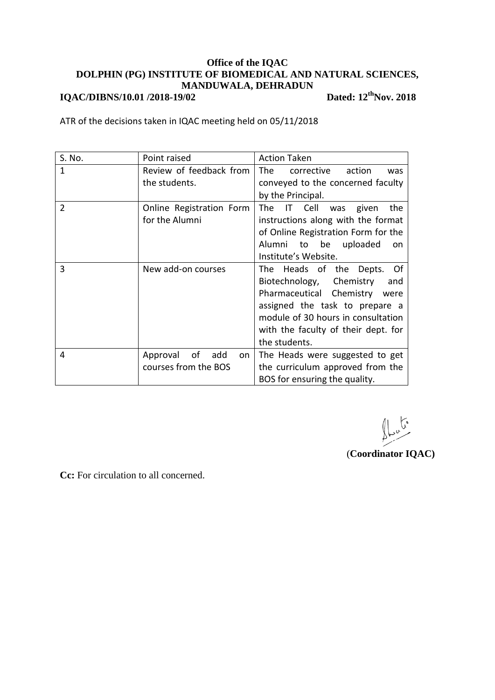**IQAC/DIBNS/10.01 /2018-19/02** 

Dated:  $12^{th}$ Nov. 2018

ATR of the decisions taken in IQAC meeting held on 05/11/2018

| S. No. | Point raised                | <b>Action Taken</b>                       |
|--------|-----------------------------|-------------------------------------------|
| 1      | Review of feedback from     | <b>The</b><br>corrective<br>action<br>was |
|        | the students.               | conveyed to the concerned faculty         |
|        |                             | by the Principal.                         |
| 2      | Online Registration Form    | The IT Cell<br>given<br>the<br>was        |
|        | for the Alumni              | instructions along with the format        |
|        |                             | of Online Registration Form for the       |
|        |                             | Alumni to be uploaded<br>on               |
|        |                             | Institute's Website.                      |
| 3      | New add-on courses          | The Heads of the Depts.<br>0f             |
|        |                             | Biotechnology, Chemistry<br>and           |
|        |                             | Pharmaceutical Chemistry were             |
|        |                             | assigned the task to prepare a            |
|        |                             | module of 30 hours in consultation        |
|        |                             | with the faculty of their dept. for       |
|        |                             | the students.                             |
| 4      | οf<br>add<br>Approval<br>on | The Heads were suggested to get           |
|        | courses from the BOS        | the curriculum approved from the          |
|        |                             | BOS for ensuring the quality.             |

 $\frac{1}{2}$ 

(**Coordinator IQAC)**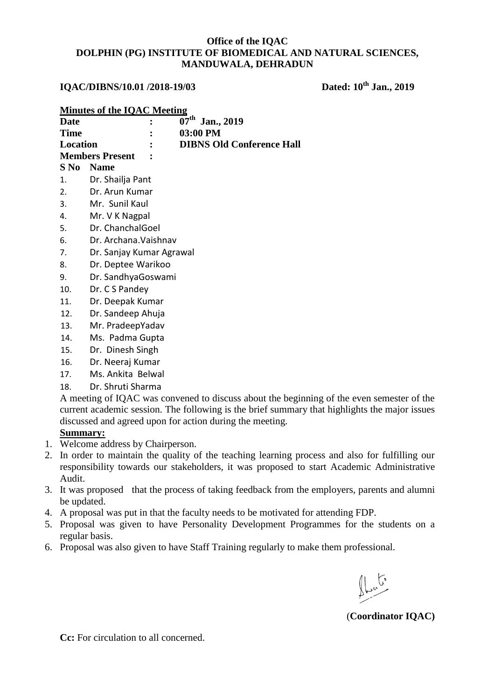## **IQAC/DIBNS/10.01 /2018-19/03 Dated: 10th Jan., 2019**

|    | <b>Minutes of the IQAC Meeting</b>                                                            |                                                                                               |  |  |
|----|-----------------------------------------------------------------------------------------------|-----------------------------------------------------------------------------------------------|--|--|
|    | Date                                                                                          | $\overline{0}7^{\text{th}}$ Jan., 2019                                                        |  |  |
|    | <b>Time</b>                                                                                   | 03:00 PM                                                                                      |  |  |
|    | <b>Location</b>                                                                               | <b>DIBNS Old Conference Hall</b>                                                              |  |  |
|    |                                                                                               | <b>Members Present</b>                                                                        |  |  |
|    | $S$ No                                                                                        | <b>Name</b>                                                                                   |  |  |
|    | 1.                                                                                            | Dr. Shailja Pant                                                                              |  |  |
|    | 2.                                                                                            | Dr. Arun Kumar                                                                                |  |  |
|    | 3.                                                                                            | Mr. Sunil Kaul                                                                                |  |  |
|    | 4.                                                                                            | Mr. V K Nagpal                                                                                |  |  |
|    | 5.                                                                                            | Dr. ChanchalGoel                                                                              |  |  |
|    | 6.                                                                                            | Dr. Archana. Vaishnav                                                                         |  |  |
|    | 7.                                                                                            | Dr. Sanjay Kumar Agrawal                                                                      |  |  |
|    | 8.                                                                                            | Dr. Deptee Warikoo                                                                            |  |  |
|    | 9.                                                                                            | Dr. SandhyaGoswami                                                                            |  |  |
|    | 10.                                                                                           | Dr. C S Pandey                                                                                |  |  |
|    | 11.                                                                                           | Dr. Deepak Kumar                                                                              |  |  |
|    | 12.                                                                                           | Dr. Sandeep Ahuja                                                                             |  |  |
|    | 13.                                                                                           | Mr. PradeepYadav                                                                              |  |  |
|    | 14.                                                                                           | Ms. Padma Gupta                                                                               |  |  |
|    | 15.                                                                                           | Dr. Dinesh Singh                                                                              |  |  |
|    | 16.                                                                                           | Dr. Neeraj Kumar                                                                              |  |  |
|    | 17.                                                                                           | Ms. Ankita Belwal                                                                             |  |  |
|    | 18.                                                                                           | Dr. Shruti Sharma                                                                             |  |  |
|    | A meeting of IQAC was convened to discuss about the beginning of the even semester of the     |                                                                                               |  |  |
|    | current academic session. The following is the brief summary that highlights the major issues |                                                                                               |  |  |
|    |                                                                                               | discussed and agreed upon for action during the meeting.                                      |  |  |
|    | <b>Summary:</b>                                                                               |                                                                                               |  |  |
|    |                                                                                               | 1. Welcome address by Chairperson.                                                            |  |  |
| 2. |                                                                                               | In order to maintain the quality of the teaching learning process and also for fulfilling our |  |  |

- 2. In order to maintain the quality of the teaching learning process and also for fulfilling our responsibility towards our stakeholders, it was proposed to start Academic Administrative Audit.
- 3. It was proposed that the process of taking feedback from the employers, parents and alumni be updated.
- 4. A proposal was put in that the faculty needs to be motivated for attending FDP.
- 5. Proposal was given to have Personality Development Programmes for the students on a regular basis.
- 6. Proposal was also given to have Staff Training regularly to make them professional.

 $\int_{\mathcal{L}}$  ,  $\int_{\mathcal{L}}$ 

(**Coordinator IQAC)**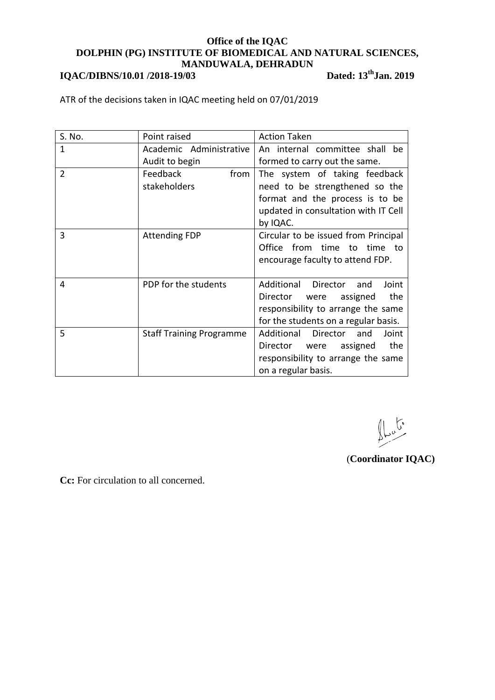## **IQAC/DIBNS/10.01 /2018-19/03**

**thJan. 2019**

ATR of the decisions taken in IQAC meeting held on 07/01/2019

| S. No. | Point raised                     | <b>Action Taken</b>                                                                                                                                    |
|--------|----------------------------------|--------------------------------------------------------------------------------------------------------------------------------------------------------|
| 1      | Academic Administrative          | An internal committee shall be                                                                                                                         |
|        | Audit to begin                   | formed to carry out the same.                                                                                                                          |
| 2      | Feedback<br>from<br>stakeholders | The system of taking feedback<br>need to be strengthened so the<br>format and the process is to be<br>updated in consultation with IT Cell<br>by IQAC. |
| 3      | <b>Attending FDP</b>             | Circular to be issued from Principal<br>Office from time to time to<br>encourage faculty to attend FDP.                                                |
| 4      | PDP for the students             | Additional<br>Director<br>and<br>Joint<br>Director were assigned<br>the<br>responsibility to arrange the same<br>for the students on a regular basis.  |
| 5      | <b>Staff Training Programme</b>  | Additional Director<br>Joint<br>and<br>assigned<br>the<br>Director were<br>responsibility to arrange the same<br>on a regular basis.                   |

 $\bigcup_{\substack{\mathbf{b} \in \mathbb{C}^n \\ \mathbf{b} \in \mathbb{C}^n}}$ 

(**Coordinator IQAC)**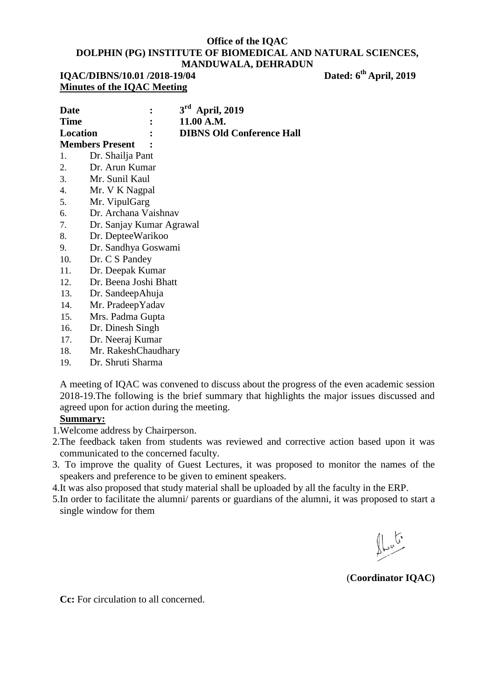| IQAC/DIBNS/10.01 /2018-19/04 | Dated: 6 <sup>th</sup> April, 2019 |
|------------------------------|------------------------------------|
| Minutes of the IQAC Meeting  |                                    |

| <b>Date</b>              | $\mathbf{1}$ | $3rd$ April, 2019                |
|--------------------------|--------------|----------------------------------|
| <b>Time</b>              | $\mathbf{R}$ | 11.00 A.M.                       |
| Location                 | $\mathbf{r}$ | <b>DIBNS Old Conference Hall</b> |
| <b>Members Present :</b> |              |                                  |
| 1. Dr. Shailja Pant      |              |                                  |

- 2. Dr. Arun Kumar
- 3. Mr. Sunil Kaul
- 4. Mr. V K Nagpal
- 5. Mr. VipulGarg
- 6. Dr. Archana Vaishnav
- 7. Dr. Sanjay Kumar Agrawal
- 8. Dr. DepteeWarikoo
- 9. Dr. Sandhya Goswami
- 10. Dr. C S Pandey
- 11. Dr. Deepak Kumar
- 12. Dr. Beena Joshi Bhatt
- 13. Dr. SandeepAhuja
- 14. Mr. PradeepYadav
- 15. Mrs. Padma Gupta
- 16. Dr. Dinesh Singh
- 17. Dr. Neeraj Kumar
- 18. Mr. RakeshChaudhary
- 19. Dr. Shruti Sharma

A meeting of IQAC was convened to discuss about the progress of the even academic session 2018-19.The following is the brief summary that highlights the major issues discussed and agreed upon for action during the meeting.

## **Summary:**

- 1.Welcome address by Chairperson.
- 2.The feedback taken from students was reviewed and corrective action based upon it was communicated to the concerned faculty.
- 3. To improve the quality of Guest Lectures, it was proposed to monitor the names of the speakers and preference to be given to eminent speakers.
- 4.It was also proposed that study material shall be uploaded by all the faculty in the ERP.
- 5.In order to facilitate the alumni/ parents or guardians of the alumni, it was proposed to start a single window for them

(**Coordinator IQAC)**